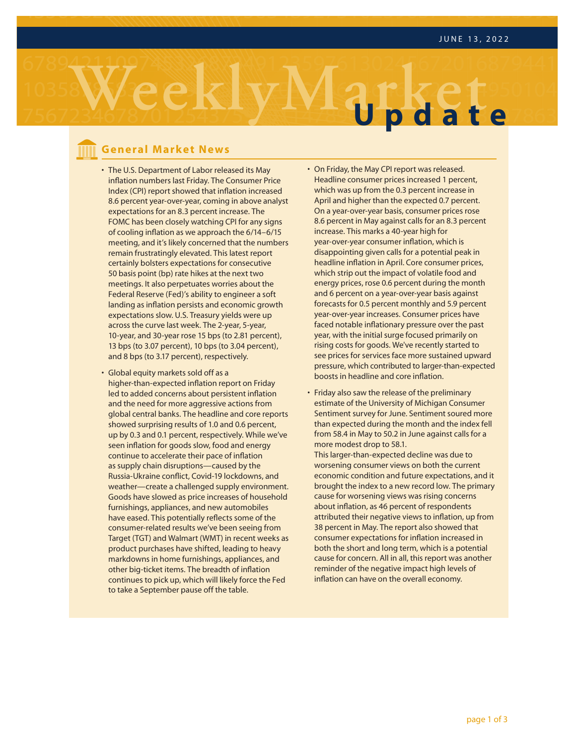

### **General Market News**

- inflation numbers last Friday. The Consumer Price • The U.S. Department of Labor released its May Index (CPI) report showed that inflation increased 8.6 percent year-over-year, coming in above analyst expectations for an 8.3 percent increase. The FOMC has been closely watching CPI for any signs of cooling inflation as we approach the 6/14–6/15 meeting, and it's likely concerned that the numbers remain frustratingly elevated. This latest report certainly bolsters expectations for consecutive 50 basis point (bp) rate hikes at the next two meetings. It also perpetuates worries about the Federal Reserve (Fed)'s ability to engineer a soft landing as inflation persists and economic growth expectations slow. U.S. Treasury yields were up across the curve last week. The 2-year, 5-year, 10-year, and 30-year rose 15 bps (to 2.81 percent), 13 bps (to 3.07 percent), 10 bps (to 3.04 percent), and 8 bps (to 3.17 percent), respectively.
- Global equity markets sold off as a higher-than-expected inflation report on Friday led to added concerns about persistent inflation and the need for more aggressive actions from global central banks. The headline and core reports showed surprising results of 1.0 and 0.6 percent, up by 0.3 and 0.1 percent, respectively. While we've seen inflation for goods slow, food and energy continue to accelerate their pace of inflation as supply chain disruptions—caused by the Russia-Ukraine conflict, Covid-19 lockdowns, and weather—create a challenged supply environment. Goods have slowed as price increases of household furnishings, appliances, and new automobiles have eased. This potentially reflects some of the consumer-related results we've been seeing from Target (TGT) and Walmart (WMT) in recent weeks as product purchases have shifted, leading to heavy markdowns in home furnishings, appliances, and other big-ticket items. The breadth of inflation continues to pick up, which will likely force the Fed to take a September pause off the table.
- On Friday, the May CPI report was released. Headline consumer prices increased 1 percent, which was up from the 0.3 percent increase in April and higher than the expected 0.7 percent. On a year-over-year basis, consumer prices rose 8.6 percent in May against calls for an 8.3 percent increase. This marks a 40-year high for year-over-year consumer inflation, which is disappointing given calls for a potential peak in headline inflation in April. Core consumer prices, which strip out the impact of volatile food and energy prices, rose 0.6 percent during the month and 6 percent on a year-over-year basis against forecasts for 0.5 percent monthly and 5.9 percent year-over-year increases. Consumer prices have faced notable inflationary pressure over the past year, with the initial surge focused primarily on rising costs for goods. We've recently started to see prices for services face more sustained upward pressure, which contributed to larger-than-expected boosts in headline and core inflation.
- Friday also saw the release of the preliminary estimate of the University of Michigan Consumer Sentiment survey for June. Sentiment soured more than expected during the month and the index fell from 58.4 in May to 50.2 in June against calls for a more modest drop to 58.1.

This larger-than-expected decline was due to worsening consumer views on both the current economic condition and future expectations, and it brought the index to a new record low. The primary cause for worsening views was rising concerns about inflation, as 46 percent of respondents attributed their negative views to inflation, up from 38 percent in May. The report also showed that consumer expectations for inflation increased in both the short and long term, which is a potential cause for concern. All in all, this report was another reminder of the negative impact high levels of inflation can have on the overall economy.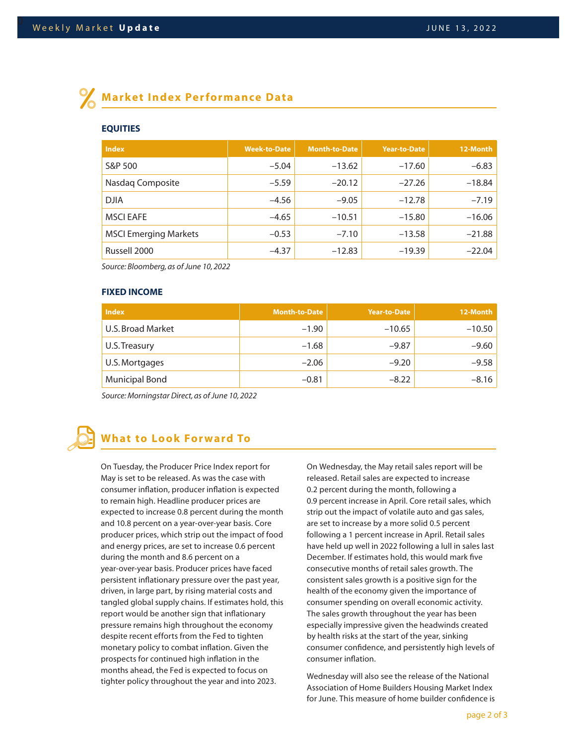# **Market Index Performance Data**

### **EQUITIES**

| <b>Index</b>                 | <b>Week-to-Date</b> | <b>Month-to-Date</b> | <b>Year-to-Date</b> | 12-Month |
|------------------------------|---------------------|----------------------|---------------------|----------|
| S&P 500                      | $-5.04$             | $-13.62$             | $-17.60$            | $-6.83$  |
| Nasdaq Composite             | $-5.59$             | $-20.12$             | $-27.26$            | $-18.84$ |
| <b>DJIA</b>                  | $-4.56$             | $-9.05$              | $-12.78$            | $-7.19$  |
| <b>MSCI EAFE</b>             | $-4.65$             | $-10.51$             | $-15.80$            | $-16.06$ |
| <b>MSCI Emerging Markets</b> | $-0.53$             | $-7.10$              | $-13.58$            | $-21.88$ |
| Russell 2000                 | $-4.37$             | $-12.83$             | $-19.39$            | $-22.04$ |

*Source: Bloomberg, as of June 10, 2022*

### **FIXED INCOME**

| <b>Index</b>          | <b>Month-to-Date</b> | Year-to-Date | 12-Month |
|-----------------------|----------------------|--------------|----------|
| U.S. Broad Market     | $-1.90$              | $-10.65$     | $-10.50$ |
| U.S. Treasury         | $-1.68$              | $-9.87$      | $-9.60$  |
| U.S. Mortgages        | $-2.06$              | $-9.20$      | $-9.58$  |
| <b>Municipal Bond</b> | $-0.81$              | $-8.22$      | $-8.16$  |

*Source: Morningstar Direct, as of June 10, 2022*

## **What to Look Forward To**

On Tuesday, the Producer Price Index report for May is set to be released. As was the case with consumer inflation, producer inflation is expected to remain high. Headline producer prices are expected to increase 0.8 percent during the month and 10.8 percent on a year-over-year basis. Core producer prices, which strip out the impact of food and energy prices, are set to increase 0.6 percent during the month and 8.6 percent on a year-over-year basis. Producer prices have faced persistent inflationary pressure over the past year, driven, in large part, by rising material costs and tangled global supply chains. If estimates hold, this report would be another sign that inflationary pressure remains high throughout the economy despite recent efforts from the Fed to tighten monetary policy to combat inflation. Given the prospects for continued high inflation in the months ahead, the Fed is expected to focus on tighter policy throughout the year and into 2023.

On Wednesday, the May retail sales report will be released. Retail sales are expected to increase 0.2 percent during the month, following a 0.9 percent increase in April. Core retail sales, which strip out the impact of volatile auto and gas sales, are set to increase by a more solid 0.5 percent following a 1 percent increase in April. Retail sales have held up well in 2022 following a lull in sales last December. If estimates hold, this would mark five consecutive months of retail sales growth. The consistent sales growth is a positive sign for the health of the economy given the importance of consumer spending on overall economic activity. The sales growth throughout the year has been especially impressive given the headwinds created by health risks at the start of the year, sinking consumer confidence, and persistently high levels of consumer inflation.

Wednesday will also see the release of the National Association of Home Builders Housing Market Index for June. This measure of home builder confidence is